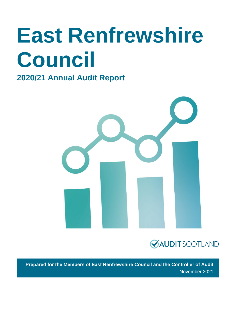# **East Renfrewshire Council**

### **2020/21 Annual Audit Report**





**Prepared for the Members of East Renfrewshire Council and the Controller of Audit** November 2021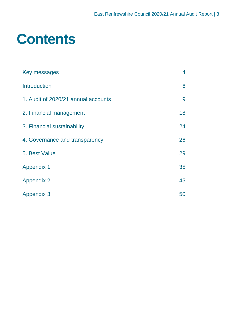### **Contents**

| Key messages                        | 4  |
|-------------------------------------|----|
| <b>Introduction</b>                 | 6  |
| 1. Audit of 2020/21 annual accounts | 9  |
| 2. Financial management             | 18 |
| 3. Financial sustainability         | 24 |
| 4. Governance and transparency      | 26 |
| 5. Best Value                       | 29 |
| <b>Appendix 1</b>                   | 35 |
| <b>Appendix 2</b>                   | 45 |
| <b>Appendix 3</b>                   | 50 |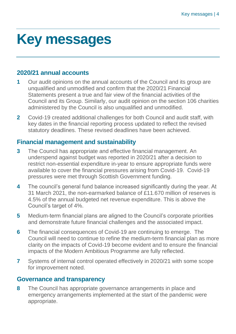## <span id="page-3-0"></span>**Key messages**

### **2020/21 annual accounts**

- **1** Our audit opinions on the annual accounts of the Council and its group are unqualified and unmodified and confirm that the 2020/21 Financial Statements present a true and fair view of the financial activities of the Council and its Group. Similarly, our audit opinion on the section 106 charities administered by the Council is also unqualified and unmodified.
- **2** Covid-19 created additional challenges for both Council and audit staff, with key dates in the financial reporting process updated to reflect the revised statutory deadlines. These revised deadlines have been achieved.

### **Financial management and sustainability**

- **3** The Council has appropriate and effective financial management. An underspend against budget was reported in 2020/21 after a decision to restrict non-essential expenditure in-year to ensure appropriate funds were available to cover the financial pressures arising from Covid-19. Covid-19 pressures were met through Scottish Government funding.
- **4** The council's general fund balance increased significantly during the year. At 31 March 2021, the non-earmarked balance of £11.670 million of reserves is 4.5% of the annual budgeted net revenue expenditure. This is above the Council's target of 4%.
- **5** Medium-term financial plans are aligned to the Council's corporate priorities and demonstrate future financial challenges and the associated impact.
- **6** The financial consequences of Covid-19 are continuing to emerge. The Council will need to continue to refine the medium-term financial plan as more clarity on the impacts of Covid-19 become evident and to ensure the financial impacts of the Modern Ambitious Programme are fully reflected.
- **7** Systems of internal control operated effectively in 2020/21 with some scope for improvement noted.

### **Governance and transparency**

**8** The Council has appropriate governance arrangements in place and emergency arrangements implemented at the start of the pandemic were appropriate.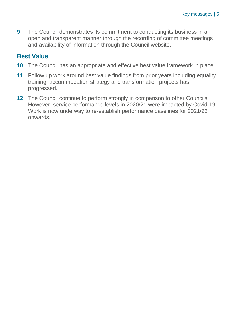**9** The Council demonstrates its commitment to conducting its business in an open and transparent manner through the recording of committee meetings and availability of information through the Council website.

### **Best Value**

- **10** The Council has an appropriate and effective best value framework in place.
- **11** Follow up work around best value findings from prior years including equality training, accommodation strategy and transformation projects has progressed.
- **12** The Council continue to perform strongly in comparison to other Councils. However, service performance levels in 2020/21 were impacted by Covid-19. Work is now underway to re-establish performance baselines for 2021/22 onwards.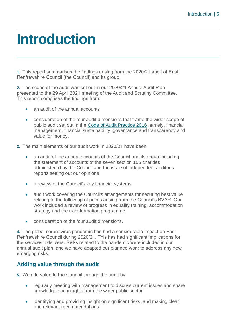### <span id="page-5-0"></span>**Introduction**

**1.** This report summarises the findings arising from the 2020/21 audit of East Renfrewshire Council (the Council) and its group.

**2.** The scope of the audit was set out in our 2020/21 Annual Audit Plan presented to the 29 April 2021 meeting of the Audit and Scrutiny Committee. This report comprises the findings from:

- an audit of the annual accounts
- consideration of the four audit dimensions that frame the wider scope of public audit set out in the [Code of Audit Practice 2016](http://www.audit-scotland.gov.uk/report/code-of-audit-practice-2016) namely, financial management, financial sustainability, governance and transparency and value for money.
- **3.** The main elements of our audit work in 2020/21 have been:
	- an audit of the annual accounts of the Council and its group including the statement of accounts of the seven section 106 charities administered by the Council and the issue of independent auditor's reports setting out our opinions
	- a review of the Council's key financial systems
	- audit work covering the Council's arrangements for securing best value relating to the follow up of points arising from the Council's BVAR. Our work included a review of progress in equality training, accommodation strategy and the transformation programme
	- consideration of the four audit dimensions.

**4.** The global coronavirus pandemic has had a considerable impact on East Renfrewshire Council during 2020/21. This has had significant implications for the services it delivers. Risks related to the pandemic were included in our annual audit plan, and we have adapted our planned work to address any new emerging risks.

### **Adding value through the audit**

**5.** We add value to the Council through the audit by:

- regularly meeting with management to discuss current issues and share knowledge and insights from the wider public sector
- identifying and providing insight on significant risks, and making clear and relevant recommendations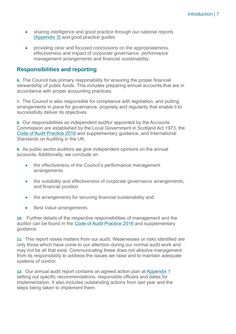- sharing intelligence and good practice through our national reports [\(Appendix 3\)](#page-49-0) and good practice guides
- providing clear and focused conclusions on the appropriateness, effectiveness and impact of corporate governance, performance management arrangements and financial sustainability.

### **Responsibilities and reporting**

**6.** The Council has primary responsibility for ensuring the proper financial stewardship of public funds. This includes preparing annual accounts that are in accordance with proper accounting practices.

**7.** The Council is also responsible for compliance with legislation, and putting arrangements in place for governance, propriety and regularity that enable it to successfully deliver its objectives.

**8.** Our responsibilities as independent auditor appointed by the Accounts Commission are established by the Local Government in Scotland Act 1973, the [Code of Audit Practice 2016](http://www.audit-scotland.gov.uk/report/code-of-audit-practice-2016) and supplementary guidance, and International Standards on Auditing in the UK.

**9.** As public sector auditors we give independent opinions on the annual accounts. Additionally, we conclude on:

- the effectiveness of the Council's performance management arrangements
- the suitability and effectiveness of corporate governance arrangements, and financial position
- the arrangements for securing financial sustainability and,
- Best Value arrangements.

**10.** Further details of the respective responsibilities of management and the auditor can be found in the [Code of Audit Practice 2016](http://www.audit-scotland.gov.uk/report/code-of-audit-practice-2016) and supplementary guidance.

**11.** This report raises matters from our audit. Weaknesses or risks identified are only those which have come to our attention during our normal audit work and may not be all that exist. Communicating these does not absolve management from its responsibility to address the issues we raise and to maintain adequate systems of control.

**12.** Our annual audit report contains an agreed action plan at [Appendix 1](#page-34-0) setting out specific recommendations, responsible officers and dates for implementation. It also includes outstanding actions from last year and the steps being taken to implement them.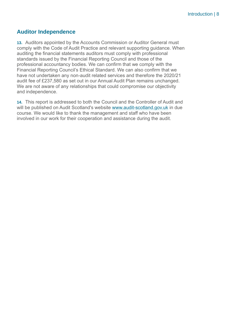### **Auditor Independence**

**13.** Auditors appointed by the Accounts Commission or Auditor General must comply with the Code of Audit Practice and relevant supporting guidance. When auditing the financial statements auditors must comply with professional standards issued by the Financial Reporting Council and those of the professional accountancy bodies. We can confirm that we comply with the Financial Reporting Council's Ethical Standard. We can also confirm that we have not undertaken any non-audit related services and therefore the 2020/21 audit fee of £237,580 as set out in our Annual Audit Plan remains unchanged. We are not aware of any relationships that could compromise our objectivity and independence.

**14.** This report is addressed to both the Council and the Controller of Audit and will be published on Audit Scotland's website [www.audit-scotland.gov.uk](http://www.audit-scotland.gov.uk/) in due course. We would like to thank the management and staff who have been involved in our work for their cooperation and assistance during the audit.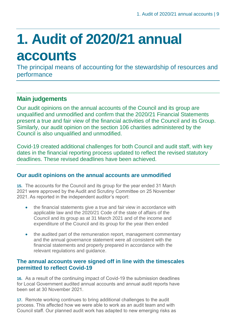## <span id="page-8-0"></span>**1. Audit of 2020/21 annual accounts**

The principal means of accounting for the stewardship of resources and performance

### **Main judgements**

Our audit opinions on the annual accounts of the Council and its group are unqualified and unmodified and confirm that the 2020/21 Financial Statements present a true and fair view of the financial activities of the Council and its Group. Similarly, our audit opinion on the section 106 charities administered by the Council is also unqualified and unmodified.

Covid-19 created additional challenges for both Council and audit staff, with key dates in the financial reporting process updated to reflect the revised statutory deadlines. These revised deadlines have been achieved.

### **Our audit opinions on the annual accounts are unmodified**

**15.** The accounts for the Council and its group for the year ended 31 March 2021 were approved by the Audit and Scrutiny Committee on 25 November 2021. As reported in the independent auditor's report:

- the financial statements give a true and fair view in accordance with applicable law and the 2020/21 Code of the state of affairs of the Council and its group as at 31 March 2021 and of the income and expenditure of the Council and its group for the year then ended
- the audited part of the remuneration report, management commentary and the annual governance statement were all consistent with the financial statements and properly prepared in accordance with the relevant regulations and guidance.

### **The annual accounts were signed off in line with the timescales permitted to reflect Covid-19**

**16.** As a result of the continuing impact of Covid-19 the submission deadlines for Local Government audited annual accounts and annual audit reports have been set at 30 November 2021.

**17.** Remote working continues to bring additional challenges to the audit process. This affected how we were able to work as an audit team and with Council staff. Our planned audit work has adapted to new emerging risks as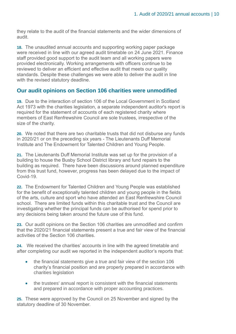they relate to the audit of the financial statements and the wider dimensions of audit.

**18.** The unaudited annual accounts and supporting working paper package were received in line with our agreed audit timetable on 24 June 2021. Finance staff provided good support to the audit team and all working papers were provided electronically. Working arrangements with officers continue to be reviewed to deliver an efficient and effective audit that meets our quality standards. Despite these challenges we were able to deliver the audit in line with the revised statutory deadline.

### **Our audit opinions on Section 106 charities were unmodified**

**19.** Due to the interaction of section 106 of the Local Government in Scotland Act 1973 with the charities legislation, a separate independent auditor's report is required for the statement of accounts of each registered charity where members of East Renfrewshire Council are sole trustees, irrespective of the size of the charity.

**20.** We noted that there are two charitable trusts that did not disburse any funds in 2020/21 or on the preceding six years - The Lieutenants Duff Memorial Institute and The Endowment for Talented Children and Young People.

**21.** The Lieutenants Duff Memorial Institute was set up for the provision of a building to house the Busby School District library and fund repairs to the building as required. There have been discussions around planned expenditure from this trust fund, however, progress has been delayed due to the impact of Covid-19.

**22.** The Endowment for Talented Children and Young People was established for the benefit of exceptionally talented children and young people in the fields of the arts, culture and sport who have attended an East Renfrewshire Council school. There are limited funds within this charitable trust and the Council are investigating whether the principal funds can be authorised for spend prior to any decisions being taken around the future use of this fund.

**23.** Our audit opinions on the Section 106 charities are unmodified and confirm that the 2020/21 financial statements present a true and fair view of the financial activities of the Section 106 charities.

**24.** We received the charities' accounts in line with the agreed timetable and after completing our audit we reported in the independent auditor's reports that:

- the financial statements give a true and fair view of the section 106 charity's financial position and are properly prepared in accordance with charities legislation
- the trustees' annual report is consistent with the financial statements and prepared in accordance with proper accounting practices.

**25.** These were approved by the Council on 25 November and signed by the statutory deadline of 30 November.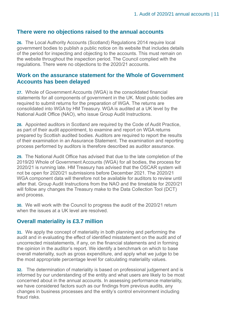### **There were no objections raised to the annual accounts**

**26.** The Local Authority Accounts (Scotland) Regulations 2014 require local government bodies to publish a public notice on its website that includes details of the period for inspecting and objecting to the accounts. This must remain on the website throughout the inspection period. The Council complied with the regulations. There were no objections to the 2020/21 accounts.

### **Work on the assurance statement for the Whole of Government Accounts has been delayed**

**27.** Whole of Government Accounts (WGA) is the consolidated financial statements for all components of government in the UK. Most public bodies are required to submit returns for the preparation of WGA. The returns are consolidated into WGA by HM Treasury. WGA is audited at a UK level by the National Audit Office (NAO), who issue Group Audit Instructions.

**28.** Appointed auditors in Scotland are required by the Code of Audit Practice, as part of their audit appointment, to examine and report on WGA returns prepared by Scottish audited bodies. Auditors are required to report the results of their examination in an Assurance Statement. The examination and reporting process performed by auditors is therefore described as auditor assurance.

**29.** The National Audit Office has advised that due to the late completion of the 2019/20 Whole of Government Accounts (WGA) for all bodies, the process for 2020/21 is running late. HM Treasury has advised that the OSCAR system will not be open for 2020/21 submissions before December 2021. The 2020/21 WGA component data will therefore not be available for auditors to review until after that. Group Audit Instructions from the NAO and the timetable for 2020/21 will follow any changes the Treasury make to the Data Collection Tool (DCT) and process.

**30.** We will work with the Council to progress the audit of the 2020/21 return when the issues at a UK level are resolved.

### **Overall materiality is £3.7 million**

**31.** We apply the concept of materiality in both planning and performing the audit and in evaluating the effect of identified misstatement on the audit and of uncorrected misstatements, if any, on the financial statements and in forming the opinion in the auditor's report. We identify a benchmark on which to base overall materiality, such as gross expenditure, and apply what we judge to be the most appropriate percentage level for calculating materiality values.

**32.** The determination of materiality is based on professional judgement and is informed by our understanding of the entity and what users are likely to be most concerned about in the annual accounts. In assessing performance materiality, we have considered factors such as our findings from previous audits, any changes in business processes and the entity's control environment including fraud risks.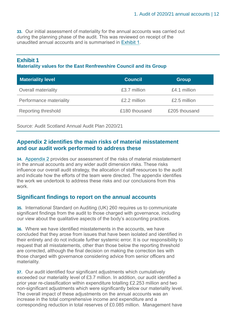**33.** Our initial assessment of materiality for the annual accounts was carried out during the planning phase of the audit. This was reviewed on receipt of the unaudited annual accounts and is summarised in [Exhibit 1.](#page-11-0)

### <span id="page-11-0"></span>**Exhibit 1 Materiality values for the East Renfrewshire Council and its Group**

| <b>Materiality level</b>   | <b>Council</b> | <b>Group</b>  |
|----------------------------|----------------|---------------|
| <b>Overall materiality</b> | £3.7 million   | £4.1 million  |
| Performance materiality    | £2.2 million   | £2.5 million  |
| Reporting threshold        | £180 thousand  | £205 thousand |

Source: Audit Scotland Annual Audit Plan 2020/21

### **Appendix 2 identifies the main risks of material misstatement and our audit work performed to address these**

**34.** Appendix 2 [provides our assessment of the risks of material misstatement](#page-44-0)  [in the annual accounts and any wider audit dimension risks. These risks](#page-44-0)  [influence our overall audit strategy, the allocation of staff resources to the audit](#page-44-0)  [and indicate how the efforts of the team were directed. The appendix identifies](#page-44-0)  [the work we undertook to address these risks and our conclusions from this](#page-44-0)  [work.](#page-44-0) 

### **Significant findings to report on the annual accounts**

**35.** International Standard on Auditing (UK) 260 requires us to communicate significant findings from the audit to those charged with governance, including our view about the qualitative aspects of the body's accounting practices.

**36.** Where we have identified misstatements in the accounts, we have concluded that they arose from issues that have been isolated and identified in their entirety and do not indicate further systemic error. It is our responsibility to request that all misstatements, other than those below the reporting threshold are corrected, although the final decision on making the correction lies with those charged with governance considering advice from senior officers and materiality.

**37.** Our audit identified four significant adjustments which cumulatively exceeded our materiality level of £3.7 million. In addition, our audit identified a prior year re-classification within expenditure totalling £2.253 million and two non-significant adjustments which were significantly below our materiality level. The overall impact of these adjustments on the annual accounts was an increase in the total comprehensive income and expenditure and a corresponding reduction in total reserves of £0.085 million. Management have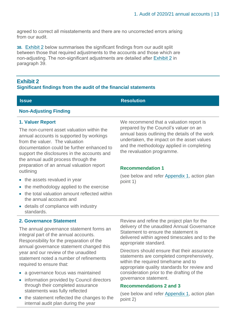agreed to correct all misstatements and there are no uncorrected errors arising from our audit.

**38.** Exhibit 2 below summarises the significant findings from our audit split between those that required adjustments to the accounts and those which are non-adjusting. The non-significant adjustments are detailed after Exhibit 2 in paragraph 39.

### **Exhibit 2 Significant findings from the audit of the financial statements**

**Issue Resolution** 

### **Non-Adjusting Finding**

### **1. Valuer Report**

The non-current asset valuation within the annual accounts is supported by workings from the valuer. The valuation documentation could be further enhanced to support the disclosures in the accounts and the annual audit process through the preparation of an annual valuation report outlining

- the assets revalued in year
- the methodology applied to the exercise
- the total valuation amount reflected within the annual accounts and
- details of compliance with industry standards.

We recommend that a valuation report is prepared by the Council's valuer on an annual basis outlining the details of the work undertaken, the impact on the asset values and the methodology applied in completing the revaluation programme.

### **Recommendation 1**

(see below and refer [Appendix 1,](#page-34-0) action plan point 1)

### **2. Governance Statement**

The annual governance statement forms an integral part of the annual accounts. Responsibility for the preparation of the annual governance statement changed this year and our review of the unaudited statement noted a number of refinements required to ensure that:

- a governance focus was maintained
- information provided by Council directors through their completed assurance statements was fully reflected
- the statement reflected the changes to the internal audit plan during the year

Review and refine the project plan for the delivery of the unaudited Annual Governance Statement to ensure the statement is delivered within agreed timescales and to the appropriate standard.

Directors should ensure that their assurance statements are completed comprehensively, within the required timeframe and to appropriate quality standards for review and consideration prior to the drafting of the governance statement.

### **Recommendations 2 and 3**

(see below and refer [Appendix 1,](#page-34-0) action plan point 2)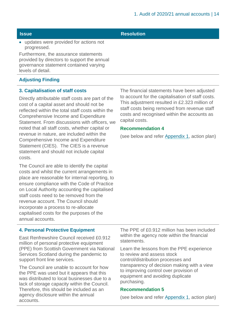### • updates were provided for actions not progressed.

Furthermore, the assurance statements provided by directors to support the annual governance statement contained varying levels of detail.

### **Adjusting Finding**

### **3. Capitalisation of staff costs**

Directly attributable staff costs are part of the cost of a capital asset and should not be reflected within the total staff costs within the Comprehensive Income and Expenditure Statement. From discussions with officers, we noted that all staff costs, whether capital or revenue in nature, are included within the Comprehensive Income and Expenditure Statement (CIES). The CIES is a revenue statement and should not include capital costs.

The Council are able to identify the capital costs and whilst the current arrangements in place are reasonable for internal reporting, to ensure compliance with the Code of Practice on Local Authority accounting the capitalised staff costs need to be removed from the revenue account. The Council should incorporate a process to re-allocate capitalised costs for the purposes of the annual accounts.

The financial statements have been adjusted to account for the capitalisation of staff costs. This adjustment resulted in £2.323 million of staff costs being removed from revenue staff costs and recognised within the accounts as capital costs.

### **Recommendation 4**

(see below and refer [Appendix 1,](#page-34-0) action plan)

### **4. Personal Protective Equipment**

East Renfrewshire Council received £0.912 million of personal protective equipment (PPE) from Scottish Government via National Services Scotland during the pandemic to support front line services.

The Council are unable to account for how the PPE was used but it appears that this was distributed to local businesses due to a lack of storage capacity within the Council. Therefore, this should be included as an agency disclosure within the annual accounts.

The PPE of £0.912 million has been included within the agency note within the financial statements.

Learn the lessons from the PPE experience to review and assess stock control/distribution processes and transparency of decision making with a view to improving control over provision of equipment and avoiding duplicate purchasing.

### **Recommendation 5**

(see below and refer [Appendix 1,](#page-34-0) action plan)

### **Issue Resolution**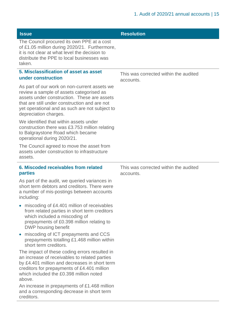| <b>Issue</b>                                                                                                                                                                                                                                                        | <b>Resolution</b>                                  |
|---------------------------------------------------------------------------------------------------------------------------------------------------------------------------------------------------------------------------------------------------------------------|----------------------------------------------------|
| The Council procured its own PPE at a cost<br>of £1.05 million during 2020/21. Furthermore,<br>it is not clear at what level the decision to<br>distribute the PPE to local businesses was<br>taken.                                                                |                                                    |
| 5. Misclassification of asset as asset                                                                                                                                                                                                                              | This was corrected within the audited              |
| under construction                                                                                                                                                                                                                                                  | accounts.                                          |
| As part of our work on non-current assets we<br>review a sample of assets categorised as<br>assets under construction. These are assets<br>that are still under construction and are not<br>yet operational and as such are not subject to<br>depreciation charges. |                                                    |
| We identified that within assets under<br>construction there was £3.753 million relating<br>to Balgraystone Road which became<br>operational during 2020/21.                                                                                                        |                                                    |
| The Council agreed to move the asset from<br>assets under construction to infrastructure<br>assets.                                                                                                                                                                 |                                                    |
| 6. Miscoded receivables from related<br>parties                                                                                                                                                                                                                     | This was corrected within the audited<br>accounts. |
| As part of the audit, we queried variances in<br>short term debtors and creditors. There were<br>a number of mis-postings between accounts<br>including:                                                                                                            |                                                    |
| miscoding of £4.401 million of receivables<br>$\bullet$<br>from related parties in short term creditors<br>which included a miscoding of<br>prepayments of £0.398 million relating to<br>DWP housing benefit                                                        |                                                    |
| miscoding of ICT prepayments and CCS<br>$\bullet$<br>prepayments totalling £1.468 million within<br>short term creditors.                                                                                                                                           |                                                    |
| The impact of these coding errors resulted in<br>an increase of receivables to related parties<br>by £4.401 million and decreases in short term<br>creditors for prepayments of £4.401 million<br>which included the £0.398 million noted<br>above.                 |                                                    |
| An increase in prepayments of £1.468 million<br>and a corresponding decrease in short term<br>creditors.                                                                                                                                                            |                                                    |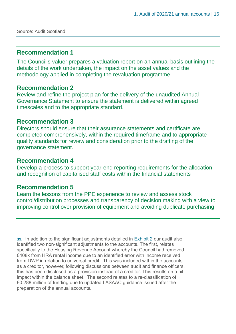### **Recommendation 1**

The Council's valuer prepares a valuation report on an annual basis outlining the details of the work undertaken, the impact on the asset values and the methodology applied in completing the revaluation programme.

### **Recommendation 2**

Review and refine the project plan for the delivery of the unaudited Annual Governance Statement to ensure the statement is delivered within agreed timescales and to the appropriate standard.

### **Recommendation 3**

Directors should ensure that their assurance statements and certificate are completed comprehensively, within the required timeframe and to appropriate quality standards for review and consideration prior to the drafting of the governance statement.

### **Recommendation 4**

Develop a process to support year-end reporting requirements for the allocation and recognition of capitalised staff costs within the financial statements

### **Recommendation 5**

Learn the lessons from the PPE experience to review and assess stock control/distribution processes and transparency of decision making with a view to improving control over provision of equipment and avoiding duplicate purchasing.

**39.** In addition to the significant adjustments detailed in Exhibit 2 our audit also identified two non-significant adjustments to the accounts. The first, relates specifically to the Housing Revenue Account whereby the Council had removed £408k from HRA rental income due to an identified error with income received from DWP in relation to universal credit. This was included within the accounts as a creditor, however, following discussions between audit and finance officers, this has been disclosed as a provision instead of a creditor. This results on a nil impact within the balance sheet. The second relates to a re-classification of £0.288 million of funding due to updated LASAAC guidance issued after the preparation of the annual accounts.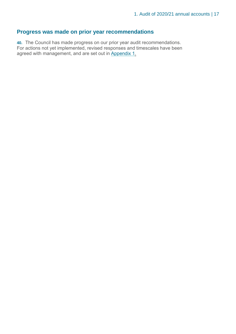### **Progress was made on prior year recommendations**

**40.** The Council has made progress on our prior year audit recommendations. For actions not yet implemented, revised responses and timescales have been agreed with management, and are set out in [Appendix 1.](#page-34-0)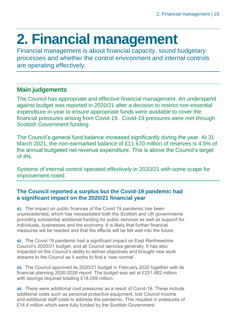## <span id="page-17-0"></span>**2. Financial management**

Financial management is about financial capacity, sound budgetary processes and whether the control environment and internal controls are operating effectively.

### **Main judgements**

The Council has appropriate and effective financial management. An underspend against budget was reported in 2020/21 after a decision to restrict non-essential expenditure in-year to ensure appropriate funds were available to cover the financial pressures arising from Covid-19. Covid-19 pressures were met through Scottish Government funding.

The Council's general fund balance increased significantly during the year. At 31 March 2021, the non-earmarked balance of £11.670 million of reserves is 4.5% of the annual budgeted net revenue expenditure. This is above the Council's target of 4%.

Systems of internal control operated effectively in 2020/21 with some scope for improvement noted.

### **The Council reported a surplus but the Covid-19 pandemic had a significant impact on the 2020/21 financial year**

**41.** The impact on public finances of the Covid 19 pandemic has been unprecedented, which has necessitated both the Scottish and UK governments providing substantial additional funding for public services as well as support for individuals, businesses and the economy. It is likely that further financial measures will be needed and that the effects will be felt well into the future.

**42.** The Covid-19 pandemic had a significant impact on East Renfrewshire Council's 2020/21 budget, and all Council services generally. It has also impacted on the Council's ability to deliver objectives and brought new work streams to the Council as it works to find a 'new normal'.

**43.** The Council approved its 2020/21 budget in February 2020 together with its financial planning 2020-2026 report. The budget was set at £251.882 million with savings required totalling £18.059 million.

**44.** There were additional cost pressures as a result of Covid-19. These include additional costs such as personal protective equipment, lost Council income and additional staff costs to address the pandemic. This resulted in pressures of £14.4 million which were fully funded by the Scottish Government.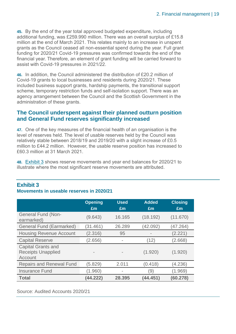**45.** By the end of the year total approved budgeted expenditure, including additional funding, was £259.990 million. There was an overall surplus of £15.8 million at the end of March 2021. This relates mainly to an increase in unspent grants as the Council ceased all non-essential spend during the year. Full grant funding for 2020/21 Covid-19 pressures was confirmed towards the end of the financial year. Therefore, an element of grant funding will be carried forward to assist with Covid-19 pressures in 2021/22.

**46.** In addition, the Council administered the distribution of £20.2 million of Covid-19 grants to local businesses and residents during 2020/21. These included business support grants, hardship payments, the transitional support scheme, temporary restriction funds and self-isolation support. There was an agency arrangement between the Council and the Scottish Government in the administration of these grants.

### **The Council underspent against their planned outturn position and General Fund reserves significantly increased**

**47.** One of the key measures of the financial health of an organisation is the level of reserves held. The level of usable reserves held by the Council was relatively stable between 2018/19 and 2019/20 with a slight increase of £0.5 million to £44.2 million. However, the usable reserve position has increased to £60.3 million at 31 March 2021.

**48.** Exhibit 3 shows reserve movements and year end balances for 2020/21 to illustrate where the most significant reserve movements are attributed.

| <b>Exhibit 3</b> |                                          |  |
|------------------|------------------------------------------|--|
|                  | Movements in useable reserves in 2020/21 |  |

|                                                                   | <b>Opening</b><br>Em     | <b>Used</b><br>Em        | <b>Added</b><br>Em | <b>Closing</b><br>Em |
|-------------------------------------------------------------------|--------------------------|--------------------------|--------------------|----------------------|
| <b>General Fund (Non-</b><br>earmarked)                           | (9.643)                  | 16.165                   | (18.192)           | (11.670)             |
| <b>General Fund (Earmarked)</b>                                   | (31.461)                 | 26.289                   | (42.092)           | (47.264)             |
| <b>Housing Revenue Account</b>                                    | (2.316)                  | 95                       |                    | (2.221)              |
| <b>Capital Reserve</b>                                            | (2.656)                  |                          | (12)               | (2.668)              |
| <b>Capital Grants and</b><br><b>Receipts Unapplied</b><br>Account | $\overline{\phantom{a}}$ |                          | (1.920)            | (1.920)              |
| <b>Repairs and Renewal Fund</b>                                   | (5.829)                  | 2.011                    | (0.418)            | (4.236)              |
| <b>Insurance Fund</b>                                             | (1.960)                  | $\overline{\phantom{a}}$ | (9)                | (1.969)              |
| <b>Total</b>                                                      | (44.222)                 | 28,395                   | (44.451)           | (60.278)             |

Source: Audited Accounts 2020/21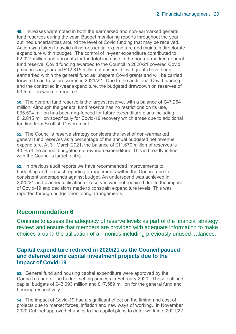**49.** Increases were noted in both the earmarked and non-earmarked general fund reserves during the year. Budget monitoring reports throughout the year outlined uncertainties around the level of Covid funding that may be received. Action was taken to avoid all non-essential expenditure and maintain directorate expenditure within budget. The control of in-year expenditure contributed to £2.027 million and accounts for the total increase in the non-earmarked general fund reserve. Covid funding awarded to the Council in 2020/21 covered Covid pressures in-year and £12.815 million of unspent Covid grants have been earmarked within the general fund as 'unspent Covid grants and will be carried forward to address pressures in 2021/22. Due to the additional Covid funding and the controlled in-year expenditure, the budgeted drawdown on reserves of £3.5 million was not required.

**50.** The general fund reserve is the largest reserve, with a balance of £47.264 million. Although the general fund reserve has no restrictions on its use, £35.594 million has been ring-fenced for future expenditure plans including £12.815 million specifically for Covid-19 recovery which arose due to additional funding from Scottish Government.

**51.** The Council's reserve strategy considers the level of non-earmarked general fund reserves as a percentage of the annual budgeted net revenue expenditure. At 31 March 2021, the balance of £11.670 million of reserves is 4.5% of the annual budgeted net revenue expenditure. This is broadly in-line with the Council's target of 4%.

**52.** In previous audit reports we have recommended improvements to budgeting and forecast reporting arrangements within the Council due to consistent underspends against budget. An underspend was achieved in 2020/21 and planned utilisation of reserves was not required due to the impact of Covid-19 and decisions made to constrain expenditure levels. This was reported through budget monitoring arrangements.

### **Recommendation 6**

Continue to assess the adequacy of reserve levels as part of the financial strategy review; and ensure that members are provided with adequate information to make choices around the utilisation of all monies including previously unused balances.

### **Capital expenditure reduced in 2020/21 as the Council paused and deferred some capital investment projects due to the impact of Covid-19**

**53.** General fund and housing capital expenditure were approved by the Council as part of the budget setting process in February 2020. These outlined capital budgets of £43.093 million and £17.589 million for the general fund and housing respectively.

**54.** The impact of Covid-19 had a significant effect on the timing and cost of projects due to market forces, inflation and new ways of working. In November 2020 Cabinet approved changes to the capital plans to defer work into 2021/22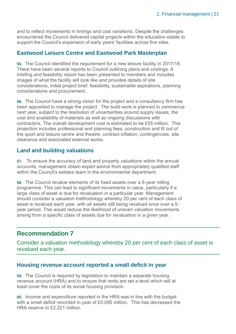and to reflect movements in timings and cost variations. Despite the challenges encountered the Council delivered capital projects within the education estate to support the Council's expansion of early years' facilities across five sites.

### **Eastwood Leisure Centre and Eastwood Park Masterplan**

**55.** The Council identified the requirement for a new leisure facility in 2017/18. There have been several reports to Council outlining plans and costings. A briefing and feasibility report has been presented to members and includes images of what the facility will look like and provides details of site considerations, initial project brief, feasibility, sustainable aspirations, planning considerations and procurement.

**56.** The Council have a strong vision for the project and a consultancy firm has been appointed to manage the project. The build work is planned to commence next year, subject to the resolution of uncertainties around supply issues, the cost and availability of materials as well as ongoing discussions with contractors. The overall development cost is estimated to be £55 million. This projection includes professional and planning fees, construction and fit out of the sport and leisure centre and theatre, contract inflation, contingencies, site clearance and associated external works.

### **Land and building valuations**

**57.** To ensure the accuracy of land and property valuations within the annual accounts, management obtain expert advice from appropriately qualified staff within the Council's estates team in the environmental department.

**58.** The Council revalue elements of its fixed assets over a 5-year rolling programme. This can lead to significant movements in value, particularly if a large class of asset is due for revaluation in a particular year. Management should consider a valuation methodology whereby 20 per cent of each class of asset is revalued each year, with all assets still being revalued once over a 5 year period. This would reduce the likelihood of uneven valuation movements arising from a specific class of assets due for revaluation in a given year.

### **Recommendation 7**

Consider a valuation methodology whereby 20 per cent of each class of asset is revalued each year.

### **Housing revenue account reported a small deficit in year**

**59.** The Council is required by legislation to maintain a separate housing revenue account (HRA) and to ensure that rents are set a level which will at least cover the costs of its social housing provision.

**60.** Income and expenditure reported in the HRA was in line with the budget with a small deficit recorded in year of £0.095 million. This has decreased the HRA reserve to £2.221 million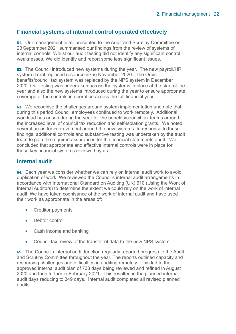### **Financial systems of internal control operated effectively**

**61.** Our management letter presented to the Audit and Scrutiny Committee on 23 September 2021 summarised our findings from the review of systems of internal controls. Whilst our audit testing did not identify any significant control weaknesses. We did identify and report some less significant issues.

**62.** The Council introduced new systems during the year. The new payroll/HR system iTrent replaced resourcelink in November 2020. The Orbis benefits/council tax system was replaced by the NPS system in December 2020. Our testing was undertaken across the systems in place at the start of the year and also the new systems introduced during the year to ensure appropriate coverage of the controls in operation across the full financial year.

**63.** We recognise the challenges around system implementation and note that during this period Council employees continued to work remotely. Additional workload has arisen during the year for the benefits/council tax teams around the increased level of council tax reduction and self-isolation grants. We noted several areas for improvement around the new systems. In response to these findings, additional controls and substantive testing was undertaken by the audit team to gain the required assurances for the financial statements audit. We concluded that appropriate and effective internal controls were in place for those key financial systems reviewed by us.

### **Internal audit**

**64.** Each year we consider whether we can rely on internal audit work to avoid duplication of work. We reviewed the Council's internal audit arrangements in accordance with International Standard on Auditing (UK) 610 (Using the Work of Internal Auditors) to determine the extent we could rely on the work of internal audit. We have taken cognisance of the work of internal audit and have used their work as appropriate in the areas of:

- Creditor payments
- Debtor control
- Cash income and banking
- Council tax review of the transfer of data to the new NPS system.

**65.** The Council's internal audit function regularly reported progress to the Audit and Scrutiny Committee throughout the year. The reports outlined capacity and resourcing challenges and difficulties in auditing remotely. This led to the approved internal audit plan of 733 days being reviewed and refined in August 2020 and then further in February 2021. This resulted in the planned internal audit days reducing to 349 days. Internal audit completed all revised planned audits.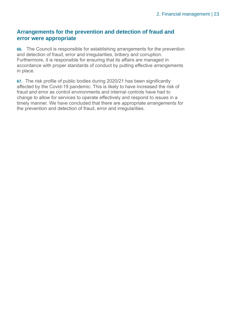### **Arrangements for the prevention and detection of fraud and error were appropriate**

**66.** The Council is responsible for establishing arrangements for the prevention and detection of fraud, error and irregularities, bribery and corruption. Furthermore, it is responsible for ensuring that its affairs are managed in accordance with proper standards of conduct by putting effective arrangements in place.

**67.** The risk profile of public bodies during 2020/21 has been significantly affected by the Covid-19 pandemic. This is likely to have increased the risk of fraud and error as control environments and internal controls have had to change to allow for services to operate effectively and respond to issues in a timely manner. We have concluded that there are appropriate arrangements for the prevention and detection of fraud, error and irregularities.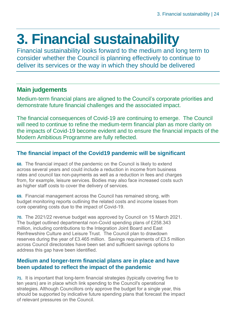## <span id="page-23-0"></span>**3. Financial sustainability**

Financial sustainability looks forward to the medium and long term to consider whether the Council is planning effectively to continue to deliver its services or the way in which they should be delivered

### **Main judgements**

Medium-term financial plans are aligned to the Council's corporate priorities and demonstrate future financial challenges and the associated impact.

The financial consequences of Covid-19 are continuing to emerge. The Council will need to continue to refine the medium-term financial plan as more clarity on the impacts of Covid-19 become evident and to ensure the financial impacts of the Modern Ambitious Programme are fully reflected.

### **The financial impact of the Covid19 pandemic will be significant**

**68.** The financial impact of the pandemic on the Council is likely to extend across several years and could include a reduction in income from business rates and council tax non-payments as well as a reduction in fees and charges from, for example, leisure services. Bodies may also face increased costs such as higher staff costs to cover the delivery of services.

**69.** Financial management across the Council has remained strong, with budget monitoring reports outlining the related costs and income losses from core operating costs due to the impact of Covid-19.

**70.** The 2021/22 revenue budget was approved by Council on 15 March 2021. The budget outlined departmental non-Covid spending plans of £258.343 million, including contributions to the Integration Joint Board and East Renfrewshire Culture and Leisure Trust. The Council plan to drawdown reserves during the year of £3.465 million. Savings requirements of £3.5 million across Council directorates have been set and sufficient savings options to address this gap have been identified.

### **Medium and longer-term financial plans are in place and have been updated to reflect the impact of the pandemic**

**71.** It is important that long-term financial strategies (typically covering five to ten years) are in place which link spending to the Council's operational strategies. Although Councillors only approve the budget for a single year, this should be supported by indicative future spending plans that forecast the impact of relevant pressures on the Council.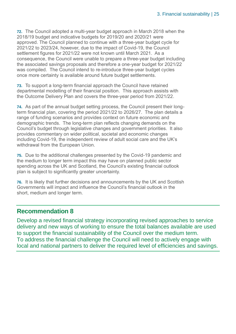**72.** The Council adopted a multi-year budget approach in March 2018 when the 2018/19 budget and indicative budgets for 2019/20 and 2020/21 were approved. The Council planned to continue with a three-year budget cycle for 2021/22 to 2023/24, however, due to the impact of Covid-19, the Council settlement figures for 2021/22 were not known until March 2021. As a consequence, the Council were unable to prepare a three-year budget including the associated savings proposals and therefore a one-year budget for 2021/22 was compiled. The Council intend to re-introduce three-year budget cycles once more certainty is available around future budget settlements.

**73.** To support a long-term financial approach the Council have retained departmental modelling of their financial position. This approach assists with the Outcome Delivery Plan and covers the three-year period from 2021/22.

**74.** As part of the annual budget setting process, the Council present their longterm financial plan, covering the period 2021/22 to 2026/27. The plan details a range of funding scenarios and provides context on future economic and demographic trends. The long-term plan reflects changing demands on the Council's budget through legislative changes and government priorities. It also provides commentary on wider political, societal and economic changes including Covid-19, the independent review of adult social care and the UK's withdrawal from the European Union.

**75.** Due to the additional challenges presented by the Covid-19 pandemic and the medium to longer term impact this may have on planned public sector spending across the UK and Scotland, the Council's existing financial outlook plan is subject to significantly greater uncertainty.

**76.** It is likely that further decisions and announcements by the UK and Scottish Governments will impact and influence the Council's financial outlook in the short, medium and longer term.

### **Recommendation 8**

Develop a revised financial strategy incorporating revised approaches to service delivery and new ways of working to ensure the total balances available are used to support the financial sustainability of the Council over the medium term. To address the financial challenge the Council will need to actively engage with local and national partners to deliver the required level of efficiencies and savings.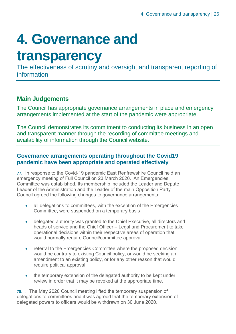## <span id="page-25-0"></span>**4. Governance and**

### **transparency**

The effectiveness of scrutiny and oversight and transparent reporting of information

### **Main Judgements**

The Council has appropriate governance arrangements in place and emergency arrangements implemented at the start of the pandemic were appropriate.

The Council demonstrates its commitment to conducting its business in an open and transparent manner through the recording of committee meetings and availability of information through the Council website.

### **Governance arrangements operating throughout the Covid19 pandemic have been appropriate and operated effectively**

**77.** In response to the Covid-19 pandemic East Renfrewshire Council held an emergency meeting of Full Council on 23 March 2020. An Emergencies Committee was established. Its membership included the Leader and Depute Leader of the Administration and the Leader of the main Opposition Party. Council agreed the following changes to governance arrangements:

- all delegations to committees, with the exception of the Emergencies Committee, were suspended on a temporary basis
- delegated authority was granted to the Chief Executive, all directors and heads of service and the Chief Officer – Legal and Procurement to take operational decisions within their respective areas of operation that would normally require Council/committee approval
- referral to the Emergencies Committee where the proposed decision would be contrary to existing Council policy, or would be seeking an amendment to an existing policy, or for any other reason that would require political approval
- the temporary extension of the delegated authority to be kept under review in order that it may be revoked at the appropriate time.

**78.** . The May 2020 Council meeting lifted the temporary suspension of delegations to committees and it was agreed that the temporary extension of delegated powers to officers would be withdrawn on 30 June 2020.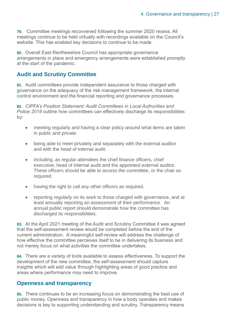**79.** Committee meetings reconvened following the summer 2020 recess. All meetings continue to be held virtually with recordings available on the Council's website. This has enabled key decisions to continue to be made.

**80.** Overall East Renfrewshire Council has appropriate governance arrangements in place and emergency arrangements were established promptly at the start of the pandemic.

### **Audit and Scrutiny Committee**

**81.** Audit committees provide independent assurance to those charged with governance on the adequacy of the risk management framework, the internal control environment and the financial reporting and governance processes.

**82.** *CIPFA's Position Statement: Audit Committees in Local Authorities and Police 2018* outline how committees can effectively discharge its responsibilities by:

- meeting regularly and having a clear policy around what items are taken in public and private.
- being able to meet privately and separately with the external auditor and with the head of internal audit.
- including, as regular attendees the chief finance officers, chief executive, head of internal audit and the appointed external auditor. These officers should be able to access the committee, or the chair as required.
- having the right to call any other officers as required.
- reporting regularly on its work to those charged with governance, and at least annually reporting an assessment of their performance. An annual public report should demonstrate how the committee has discharged its responsibilities.

**83.** At the April 2021 meeting of the Audit and Scrutiny Committee it was agreed that the self-assessment review would be completed before the end of the current administration. A meaningful self-review will address the challenge of how effective the committee perceives itself to be in delivering its business and not merely focus on what activities the committee undertakes.

**84.** There are a variety of tools available to assess effectiveness. To support the development of the new committee, the self-assessment should capture insights which will add value through highlighting areas of good practice and areas where performance may need to improve.

### **Openness and transparency**

**85.** There continues to be an increasing focus on demonstrating the best use of public money. Openness and transparency in how a body operates and makes decisions is key to supporting understanding and scrutiny. Transparency means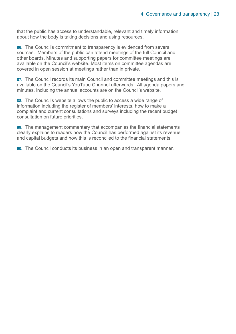that the public has access to understandable, relevant and timely information about how the body is taking decisions and using resources.

**86.** The Council's commitment to transparency is evidenced from several sources. Members of the public can attend meetings of the full Council and other boards. Minutes and supporting papers for committee meetings are available on the Council's website. Most items on committee agendas are covered in open session at meetings rather than in private.

**87.** The Council records its main Council and committee meetings and this is available on the Council's YouTube Channel afterwards. All agenda papers and minutes, including the annual accounts are on the Council's website.

**88.** The Council's website allows the public to access a wide range of information including the register of members' interests, how to make a complaint and current consultations and surveys including the recent budget consultation on future priorities.

**89.** The management commentary that accompanies the financial statements clearly explains to readers how the Council has performed against its revenue and capital budgets and how this is reconciled to the financial statements.

**90.** The Council conducts its business in an open and transparent manner.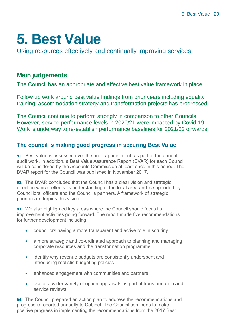## <span id="page-28-0"></span>**5. Best Value**

Using resources effectively and continually improving services.

### **Main judgements**

The Council has an appropriate and effective best value framework in place.

Follow up work around best value findings from prior years including equality training, accommodation strategy and transformation projects has progressed.

The Council continue to perform strongly in comparison to other Councils. However, service performance levels in 2020/21 were impacted by Covid-19. Work is underway to re-establish performance baselines for 2021/22 onwards.

### **The council is making good progress in securing Best Value**

**91.** Best value is assessed over the audit appointment, as part of the annual audit work. In addition, a Best Value Assurance Report (BVAR) for each Council will be considered by the Accounts Commission at least once in this period. The BVAR report for the Council was published in November 2017.

**92.** The BVAR concluded that the Council has a clear vision and strategic direction which reflects its understanding of the local area and is supported by Councillors, officers and the Council's partners. A framework of strategic priorities underpins this vision.

**93.** We also highlighted key areas where the Council should focus its improvement activities going forward. The report made five recommendations for further development including:

- councillors having a more transparent and active role in scrutiny
- a more strategic and co-ordinated approach to planning and managing corporate resources and the transformation programme
- identify why revenue budgets are consistently underspent and introducing realistic budgeting policies
- enhanced engagement with communities and partners
- use of a wider variety of option appraisals as part of transformation and service reviews.

**94.** The Council prepared an action plan to address the recommendations and progress is reported annually to Cabinet. The Council continues to make positive progress in implementing the recommendations from the 2017 Best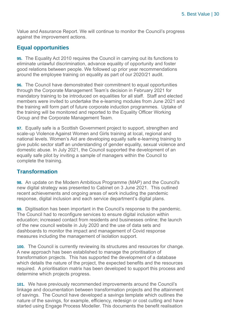Value and Assurance Report. We will continue to monitor the Council's progress against the improvement actions.

### **Equal opportunities**

**95.** The Equality Act 2010 requires the Council in carrying out its functions to eliminate unlawful discrimination, advance equality of opportunity and foster good relations between people. We followed up prior year recommendations around the employee training on equality as part of our 2020/21 audit.

**96.** The Council have demonstrated their commitment to equal opportunities through the Corporate Management Team's decision in February 2021 for mandatory training to be introduced on equalities for all staff. Staff and elected members were invited to undertake the e-learning modules from June 2021 and the training will form part of future corporate induction programmes. Uptake of the training will be monitored and reported to the Equality Officer Working Group and the Corporate Management Team.

**97.** Equally safe is a Scottish Government project to support, strengthen and scale-up Violence Against Women and Girls training at local, regional and national levels. Women's Aid are developing equally safe e-learning training to give public sector staff an understanding of gender equality, sexual violence and domestic abuse. In July 2021, the Council supported the development of an equally safe pilot by inviting a sample of managers within the Council to complete the training.

### **Transformation**

**98.** An update on the Modern Ambitious Programme (MAP) and the Council's new digital strategy was presented to Cabinet on 3 June 2021. This outlined recent achievements and ongoing areas of work including the pandemic response, digital inclusion and each service department's digital plans.

**99.** Digitisation has been important in the Council's response to the pandemic. The Council had to reconfigure services to ensure digital inclusion within education; increased contact from residents and businesses online; the launch of the new council website in July 2020 and the use of data sets and dashboards to monitor the impact and management of Covid response measures including the management of isolation support.

**100.** The Council is currently reviewing its structures and resources for change. A new approach has been established to manage the prioritisation of transformation projects. This has supported the development of a database which details the nature of the project, the expected benefits and the resources required. A prioritisation matrix has been developed to support this process and determine which projects progress.

**101.** We have previously recommended improvements around the Council's linkage and documentation between transformation projects and the attainment of savings. The Council have developed a savings template which outlines the nature of the savings, for example, efficiency, redesign or cost cutting and have started using Engage Process Modeller. This documents the benefit realisation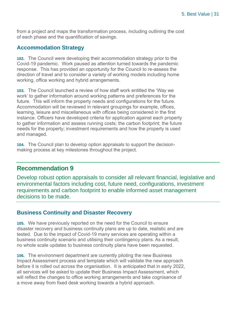from a project and maps the transformation process, including outlining the cost of each phase and the quantification of savings.

### **Accommodation Strategy**

**102.** The Council were developing their accommodation strategy prior to the Covid-19 pandemic. Work paused as attention turned towards the pandemic response. This has provided an opportunity for the Council to re-assess the direction of travel and to consider a variety of working models including home working, office working and hybrid arrangements.

**103.** The Council launched a review of how staff work entitled the 'Way we work' to gather information around working patterns and preferences for the future. This will inform the property needs and configurations for the future. Accommodation will be reviewed in relevant groupings for example, offices, learning, leisure and miscellaneous with offices being considered in the first instance. Officers have developed criteria for application against each property to gather information and assess running costs; the carbon footprint; the future needs for the property; investment requirements and how the property is used and managed.

**104.** The Council plan to develop option appraisals to support the decisionmaking process at key milestones throughout the project.

### **Recommendation 9**

Develop robust option appraisals to consider all relevant financial, legislative and environmental factors including cost, future need, configurations, investment requirements and carbon footprint to enable informed asset management decisions to be made.

### **Business Continuity and Disaster Recovery**

**105.** We have previously reported on the need for the Council to ensure disaster recovery and business continuity plans are up to date, realistic and are tested. Due to the impact of Covid-19 many services are operating within a business continuity scenario and utilising their contingency plans. As a result, no whole scale updates to business continuity plans have been requested.

**106.** The environment department are currently piloting the new Business Impact Assessment process and template which will validate the new approach before it is rolled out across the organisation. It is anticipated that in early 2022, all services will be asked to update their Business Impact Assessment, which will reflect the changes to office working arrangements and take cognisance of a move away from fixed desk working towards a hybrid approach.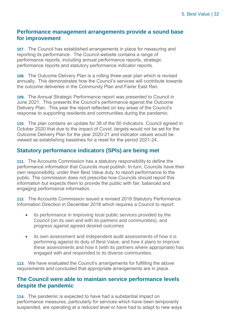### **Performance management arrangements provide a sound base for improvement**

**107.** The Council has established arrangements in place for measuring and reporting its performance. The Council website contains a range of performance reports, including annual performance reports, strategic performance reports and statutory performance indicator reports.

**108.** The Outcome Delivery Plan is a rolling three-year plan which is revised annually. This demonstrates how the Council's services will contribute towards the outcome deliveries in the Community Plan and Fairer East Ren.

**109.** The Annual Strategic Performance report was presented to Council in June 2021. This presents the Council's performance against the Outcome Delivery Plan. This year the report reflected on key areas of the Council's response to supporting residents and communities during the pandemic.

**110.** The plan contains an update for 38 of the 50 indicators. Council agreed in October 2020 that due to the impact of Covid, targets would not be set for the Outcome Delivery Plan for the year 2020-21 and indicator values would be viewed as establishing baselines for a reset for the period 2021-24.

### **Statutory performance indicators (SPIs) are being met**

**111.** The Accounts Commission has a statutory responsibility to define the performance information that Councils must publish. In turn, Councils have their own responsibility, under their Best Value duty, to report performance to the public. The commission does not prescribe how Councils should report this information but expects them to provide the public with fair, balanced and engaging performance information.

**112.** The Accounts Commission issued a revised 2018 Statutory Performance Information Direction in December 2018 which requires a Council to report:

- its performance in improving local public services provided by the Council (on its own and with its partners and communities), and progress against agreed desired outcomes
- its own assessment and independent audit assessments of how it is performing against its duty of Best Value, and how it plans to improve these assessments and how it (with its partners where appropriate) has engaged with and responded to its diverse communities.

**113.** We have evaluated the Council's arrangements for fulfilling the above requirements and concluded that appropriate arrangements are in place.

### **The Council were able to maintain service performance levels despite the pandemic**

**114.** The pandemic is expected to have had a substantial impact on performance measures, particularly for services which have been temporarily suspended, are operating at a reduced level or have had to adapt to new ways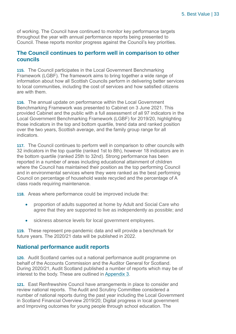of working. The Council have continued to monitor key performance targets throughout the year with annual performance reports being presented to Council. These reports monitor progress against the Council's key priorities.

### **The Council continues to perform well in comparison to other councils**

**115.** The Council participates in the Local Government Benchmarking Framework (LGBF). The framework aims to bring together a wide range of information about how all Scottish Councils perform in delivering better services to local communities, including the cost of services and how satisfied citizens are with them.

**116.** The annual update on performance within the Local Government Benchmarking Framework was presented to Cabinet on 3 June 2021. This provided Cabinet and the public with a full assessment of all 97 indicators in the Local Government Benchmarking Framework (LGBF) for 2019/20, highlighting those indicators in the top and bottom quartile, trend data and ranked position over the two years, Scottish average, and the family group range for all indicators.

**117.** The Council continues to perform well in comparison to other councils with 32 indicators in the top quartile (ranked 1st to 8th), however 18 indicators are in the bottom quartile (ranked 25th to 32nd). Strong performance has been reported in a number of areas including educational attainment of children where the Council has maintained their position as the top performing Council and in environmental services where they were ranked as the best performing Council on percentage of household waste recycled and the percentage of A class roads requiring maintenance.

**118.** Areas where performance could be improved include the:

- proportion of adults supported at home by Adult and Social Care who agree that they are supported to live as independently as possible; and
- sickness absence levels for local government employees.

**119.** These represent pre-pandemic data and will provide a benchmark for future years. The 2020/21 data will be published in 2022.

### **National performance audit reports**

**120.** Audit Scotland carries out a national performance audit programme on behalf of the Accounts Commission and the Auditor General for Scotland. During 2020/21, Audit Scotland published a number of reports which may be of interest to the body. These are outlined in [Appendix 3.](#page-49-0)

**121.** East Renfrewshire Council have arrangements in place to consider and review national reports. The Audit and Scrutiny Committee considered a number of national reports during the past year including the Local Government in Scotland Financial Overview 2019/20; Digital progress in local government and Improving outcomes for young people through school education. The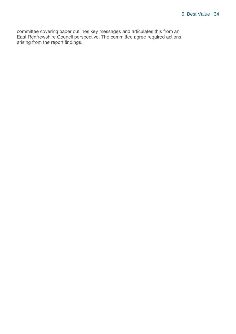committee covering paper outlines key messages and articulates this from an East Renfrewshire Council perspective. The committee agree required actions arising from the report findings.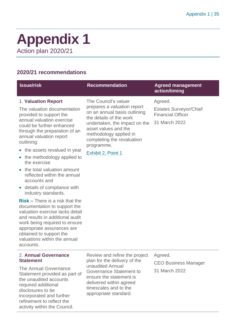### <span id="page-34-0"></span>**Appendix 1** Action plan 2020/21

### **2020/21 recommendations**

refinement to reflect the activity within the Council.

| <b>Issue/risk</b>                                                                                                                                                                                                                                                                                                                                                                                                                                                                                                                                                                                                                                                                                                      | <b>Recommendation</b>                                                                                                                                                                                                                                               | <b>Agreed management</b><br>action/timing                                             |
|------------------------------------------------------------------------------------------------------------------------------------------------------------------------------------------------------------------------------------------------------------------------------------------------------------------------------------------------------------------------------------------------------------------------------------------------------------------------------------------------------------------------------------------------------------------------------------------------------------------------------------------------------------------------------------------------------------------------|---------------------------------------------------------------------------------------------------------------------------------------------------------------------------------------------------------------------------------------------------------------------|---------------------------------------------------------------------------------------|
| 1. Valuation Report<br>The valuation documentation<br>provided to support the<br>annual valuation exercise<br>could be further enhanced<br>through the preparation of an<br>annual valuation report<br>outlining:<br>• the assets revalued in year<br>the methodology applied to<br>the exercise<br>the total valuation amount<br>reflected within the annual<br>accounts and<br>• details of compliance with<br>industry standards.<br>$Risk$ – There is a risk that the<br>documentation to support the<br>valuation exercise lacks detail<br>and results in additional audit<br>work being required to ensure<br>appropriate assurances are<br>obtained to support the<br>valuations within the annual<br>accounts. | The Council's valuer<br>prepares a valuation report<br>on an annual basis outlining<br>the details of the work<br>undertaken, the impact on the<br>asset values and the<br>methodology applied in<br>completing the revaluation<br>programme.<br>Exhibit 2, Point 1 | Agreed.<br><b>Estates Surveyor/Chief</b><br><b>Financial Officer</b><br>31 March 2022 |
| 2. Annual Governance<br><b>Statement</b><br>The Annual Governance<br>Statement provided as part of<br>the unaudited accounts<br>required additional<br>disclosures to be<br>incorporated and further                                                                                                                                                                                                                                                                                                                                                                                                                                                                                                                   | Review and refine the project<br>plan for the delivery of the<br>unaudited Annual<br>Governance Statement to<br>ensure the statement is<br>delivered within agreed<br>timescales and to the<br>appropriate standard.                                                | Agreed.<br><b>CEO Business Manager</b><br>31 March 2022                               |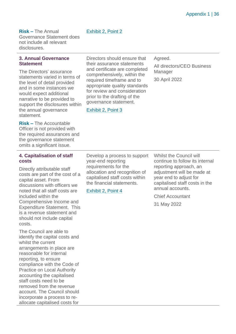### Exhibit 2, Point 2

**Risk –** The Annual Governance Statement does not include all relevant disclosures.

#### **3. Annual Governance Statement**

The Directors' assurance statements varied in terms of the level of detail provided and in some instances we would expect additional narrative to be provided to support the disclosures within the annual governance statement.

**Risk –** The Accountable Officer is not provided with the required assurances and the governance statement omits a significant issue.

Directors should ensure that their assurance statements and certificate are completed comprehensively, within the required timeframe and to appropriate quality standards for review and consideration prior to the drafting of the governance statement.

#### Exhibit 2, Point 3

Agreed.

All directors/CEO Business **Manager** 

30 April 2022

#### **4. Capitalisation of staff costs**

Directly attributable staff costs are part of the cost of a capital asset. From discussions with officers we noted that all staff costs are included within the Comprehensive Income and Expenditure Statement. This is a revenue statement and should not include capital costs.

The Council are able to identify the capital costs and whilst the current arrangements in place are reasonable for internal reporting, to ensure compliance with the Code of Practice on Local Authority accounting the capitalised staff costs need to be removed from the revenue account. The Council should incorporate a process to reallocate capitalised costs for

Develop a process to support year-end reporting requirements for the allocation and recognition of capitalised staff costs within the financial statements.

Exhibit 2, Point 4

Whilst the Council will continue to follow its internal reporting approach, an adjustment will be made at year end to adjust for capitalised staff costs in the annual accounts.

Chief Accountant

31 May 2022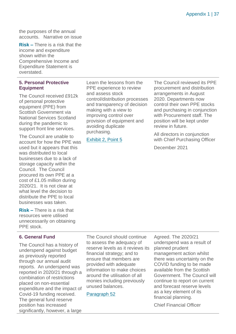the purposes of the annual accounts. Narrative on issue

**Risk –** There is a risk that the income and expenditure shown within the Comprehensive Income and Expenditure Statement is overstated.

### **5. Personal Protective Equipment**

The Council received £912k of personal protective equipment (PPE) from Scottish Government via National Services Scotland during the pandemic to support front line services.

The Council are unable to account for how the PPE was used but it appears that this was distributed to local businesses due to a lack of storage capacity within the Council. The Council procured its own PPE at a cost of £1.05 million during 2020/21. It is not clear at what level the decision to distribute the PPE to local businesses was taken.

**Risk –** There is a risk that resources were utilised unnecessarily on obtaining PPE stock.

### **6. General Fund**

The Council has a history of underspend against budget as previously reported through our annual audit reports. An underspend was reported in 2020/21 through a combination of restrictions placed on non-essential expenditure and the impact of Covid-19 funding received. The general fund reserve position has increased significantly, however, a large Learn the lessons from the PPE experience to review and assess stock control/distribution processes and transparency of decision making with a view to improving control over provision of equipment and avoiding duplicate purchasing.

Exhibit 2, Point 5

The Council reviewed its PPE procurement and distribution arrangements in August 2020. Departments now control their own PPE stocks and purchasing in conjunction with Procurement staff. The position will be kept under review in future.

All directors in conjunction with Chief Purchasing Officer

December 2021

The Council should continue to assess the adequacy of reserve levels as it reviews its financial strategy; and to ensure that members are provided with adequate information to make choices around the utilisation of all monies including previously unused balances.

Paragraph 52

Agreed. The 2020/21 underspend was a result of planned prudent management action whilst there was uncertainty on the COVID funding to be made available from the Scottish Government. The Council will continue to report on current and forecast reserve levels as a key element of its financial planning.

Chief Financial Officer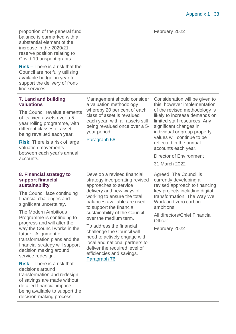Appendix 1 | 38

proportion of the general fund balance is earmarked with a substantial element of the increase in the 2020/21 reserve position relating to Covid-19 unspent grants.

**Risk –** There is a risk that the Council are not fully utilising available budget in year to support the delivery of frontline services.

### **7. Land and building valuations**

The Council revalue elements of its fixed assets over a 5 year rolling programme, with different classes of asset being revalued each year.

**Risk:** There is a risk of large valuation movements between each year's annual accounts.

### Management should consider a valuation methodology whereby 20 per cent of each class of asset is revalued each year, with all assets still being revalued once over a 5 year period.

Paragraph 58

Consideration will be given to this, however implementation of the revised methodology is likely to increase demands on limited staff resources. Any significant changes in individual or group property values will continue to be reflected in the annual accounts each year.

Director of Environment

31 March 2022

Agreed. The Council is currently developing a revised approach to financing key projects including digital transformation, The Way We Work and zero carbon ambitions.

All directors/Chief Financial **Officer** 

February 2022

### **8. Financial strategy to support financial sustainability**

The Council face continuing financial challenges and significant uncertainty.

The Modern Ambitious Programme is continuing to progress and will alter the way the Council works in the future. Alignment of transformation plans and the financial strategy will support decision making around service redesign.

**Risk –** There is a risk that decisions around transformation and redesign of savings are made without detailed financial impacts being available to support the decision-making process.

Develop a revised financial strategy incorporating revised approaches to service delivery and new ways of working to ensure the total balances available are used to support the financial sustainability of the Council over the medium term.

To address the financial challenge the Council will need to actively engage with local and national partners to deliver the required level of efficiencies and savings. Paragraph 76

February 2022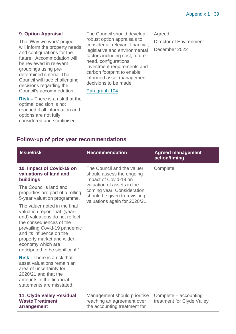### **9. Option Appraisal**

The 'Way we work' project will inform the property needs and configurations for the future. Accommodation will be reviewed in relevant groupings using predetermined criteria. The Council will face challenging decisions regarding the Council's accommodation.

**Risk –** There is a risk that the optimal decision is not reached if all information and options are not fully considered and scrutinised.

The Council should develop robust option appraisals to consider all relevant financial, legislative and environmental factors including cost, future need, configurations, investment requirements and carbon footprint to enable informed asset management decisions to be made.

Paragraph 104

Agreed.

Director of Environment December 2022

### **Follow-up of prior year recommendations**

| <b>Issue/risk</b>                                                                                                                                                                                                                                                            | <b>Recommendation</b>                                                                                                                                                                                          | <b>Agreed management</b><br>action/timing           |  |  |  |  |  |  |
|------------------------------------------------------------------------------------------------------------------------------------------------------------------------------------------------------------------------------------------------------------------------------|----------------------------------------------------------------------------------------------------------------------------------------------------------------------------------------------------------------|-----------------------------------------------------|--|--|--|--|--|--|
| 10. Impact of Covid-19 on<br>valuations of land and<br>buildings                                                                                                                                                                                                             | The Council and the valuer<br>should assess the ongoing<br>impact of Covid-19 on<br>valuation of assets in the<br>coming year. Consideration<br>should be given to revisiting<br>valuations again for 2020/21. | Complete                                            |  |  |  |  |  |  |
| The Council's land and<br>properties are part of a rolling<br>5-year valuation programme.                                                                                                                                                                                    |                                                                                                                                                                                                                |                                                     |  |  |  |  |  |  |
| The valuer noted in the final<br>valuation report that '(year-<br>end) valuations do not reflect<br>the consequences of the<br>prevailing Covid-19 pandemic<br>and its influence on the<br>property market and wider<br>economy which are<br>anticipated to be significant.' |                                                                                                                                                                                                                |                                                     |  |  |  |  |  |  |
| <b>Risk - There is a risk that</b><br>asset valuations remain an<br>area of uncertainty for<br>2020/21 and that the<br>amounts in the financial<br>statements are misstated.                                                                                                 |                                                                                                                                                                                                                |                                                     |  |  |  |  |  |  |
| 11. Clyde Valley Residual<br><b>Waste Treatment</b>                                                                                                                                                                                                                          | Management should prioritise<br>reaching an agreement over<br>the contract of the contract of the contract of the contract of the contract of the contract of the contract of                                  | Complete – accounting<br>treatment for Clyde Valley |  |  |  |  |  |  |

**arrangement**

the accounting treatment for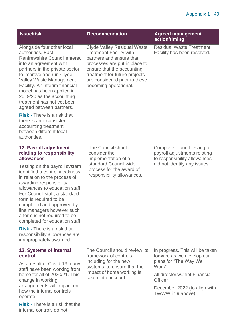### Appendix 1 | 40

| <b>Issue/risk</b>                                                                                                                                                                                                                                                                                                                                                                                                                                                                                                             | <b>Recommendation</b>                                                                                                                                                                                                                                      | <b>Agreed management</b><br>action/timing                                                                                                                                                       |
|-------------------------------------------------------------------------------------------------------------------------------------------------------------------------------------------------------------------------------------------------------------------------------------------------------------------------------------------------------------------------------------------------------------------------------------------------------------------------------------------------------------------------------|------------------------------------------------------------------------------------------------------------------------------------------------------------------------------------------------------------------------------------------------------------|-------------------------------------------------------------------------------------------------------------------------------------------------------------------------------------------------|
| Alongside four other local<br>authorities, East<br><b>Renfrewshire Council entered</b><br>into an agreement with<br>partners in the private sector<br>to improve and run Clyde<br><b>Valley Waste Management</b><br>Facility. An interim financial<br>model has been applied in<br>2019/20 as the accounting<br>treatment has not yet been<br>agreed between partners.                                                                                                                                                        | <b>Clyde Valley Residual Waste</b><br><b>Treatment Facility with</b><br>partners and ensure that<br>processes are put in place to<br>ensure that the accounting<br>treatment for future projects<br>are considered prior to these<br>becoming operational. | <b>Residual Waste Treatment</b><br>Facility has been resolved.                                                                                                                                  |
| <b>Risk - There is a risk that</b><br>there is an inconsistent<br>accounting treatment<br>between different local<br>authorities.                                                                                                                                                                                                                                                                                                                                                                                             |                                                                                                                                                                                                                                                            |                                                                                                                                                                                                 |
| 12. Payroll adjustment<br>relating to responsibility<br>allowances<br>Testing on the payroll system<br>identified a control weakness<br>in relation to the process of<br>awarding responsibility<br>allowances to education staff.<br>For Council staff, a standard<br>form is required to be<br>completed and approved by<br>line managers however such<br>a form is not required to be<br>completed for education staff.<br><b>Risk - There is a risk that</b><br>responsibility allowances are<br>inappropriately awarded. | The Council should<br>consider the<br>implementation of a<br>standard Council wide<br>process for the award of<br>responsibility allowances.                                                                                                               | Complete – audit testing of<br>payroll adjustments relating<br>to responsibility allowances<br>did not identify any issues.                                                                     |
| 13. Systems of internal<br>control<br>As a result of Covid-19 many<br>staff have been working from<br>home for all of 2020/21. This<br>change in working<br>arrangements will impact on<br>how the internal controls<br>operate.<br><b>Risk - There is a risk that the</b><br>internal controls do not                                                                                                                                                                                                                        | The Council should review its<br>framework of controls,<br>including for the new<br>systems, to ensure that the<br>impact of home working is<br>taken into account.                                                                                        | In progress. This will be taken<br>forward as we develop our<br>plans for "The Way We<br>Work".<br>All directors/Chief Financial<br>Officer<br>December 2022 (to align with<br>TWWW in 9 above) |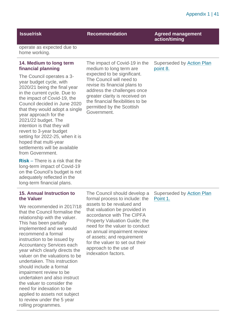### **Issue/risk Recommendation Agreed management**

**action/timing**

operate as expected due to home working.

### **14. Medium to long term financial planning**

The Council operates a 3 year budget cycle, with 2020/21 being the final year in the current cycle. Due to the impact of Covid-19, the Council decided in June 2020 that they would adopt a single year approach for the 2021/22 budget. The intention is that they will revert to 3-year budget setting for 2022-25, when it is hoped that multi-year settlements will be available from Government.

**Risk** – There is a risk that the long-term impact of Covid-19 on the Council's budget is not adequately reflected in the long-term financial plans.

### **15. Annual Instruction to the Valuer**

We recommended in 2017/18 that the Council formalise the relationship with the valuer. This has been partially implemented and we would recommend a formal instruction to be issued by Accountancy Services each year which clearly directs the valuer on the valuations to be undertaken. This instruction should include a formal impairment review to be undertaken and also instruct the valuer to consider the need for indexation to be applied to assets not subject to review under the 5 year rolling programmes.

The impact of Covid-19 in the medium to long term are expected to be significant. The Council will need to revise its financial plans to address the challenges once greater clarity is received on the financial flexibilities to be permitted by the Scottish Government.

Superseded by Action Plan point 8.

The Council should develop a formal process to include: the assets to be revalued and that valuation be provided in accordance with The CIPFA Property Valuation Guide; the need for the valuer to conduct an annual impairment review of assets; and requirement for the valuer to set out their approach to the use of indexation factors.

Superseded by Action Plan Point 1.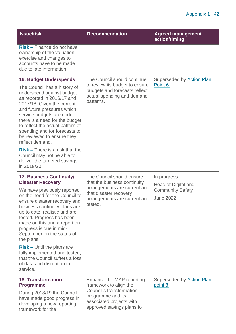| <b>Issue/risk</b>                                                                                                                                                                                                                                                                                                                         | <b>Recommendation</b>                                                                                                                                          | <b>Agreed management</b><br>action/timing    |
|-------------------------------------------------------------------------------------------------------------------------------------------------------------------------------------------------------------------------------------------------------------------------------------------------------------------------------------------|----------------------------------------------------------------------------------------------------------------------------------------------------------------|----------------------------------------------|
| $Risk - Finance$ do not have<br>ownership of the valuation<br>exercise and changes to<br>accounts have to be made<br>due to late information.                                                                                                                                                                                             |                                                                                                                                                                |                                              |
| <b>16. Budget Underspends</b>                                                                                                                                                                                                                                                                                                             | The Council should continue                                                                                                                                    | Superseded by Action Plan                    |
| The Council has a history of<br>underspend against budget<br>as reported in 2016/17 and<br>2017/18. Given the current<br>and future pressures which<br>service budgets are under,<br>there is a need for the budget<br>to reflect the actual pattern of<br>spending and for forecasts to<br>be reviewed to ensure they<br>reflect demand. | to review its budget to ensure<br>budgets and forecasts reflect<br>actual spending and demand<br>patterns.                                                     | Point 6.                                     |
| $Risk$ – There is a risk that the<br>Council may not be able to<br>deliver the targeted savings<br>in 2019/20.                                                                                                                                                                                                                            |                                                                                                                                                                |                                              |
| <b>17. Business Continuity/</b><br><b>Disaster Recovery</b>                                                                                                                                                                                                                                                                               | The Council should ensure<br>that the business continuity<br>arrangements are current and<br>that disaster recovery<br>arrangements are current and<br>tested. | In progress<br>Head of Digital and           |
| We have previously reported<br>on the need for the Council to<br>ensure disaster recovery and<br>business continuity plans are<br>up to date, realistic and are<br>tested. Progress has been<br>made on this and a report on<br>progress is due in mid-<br>September on the status of<br>the plans.                                       |                                                                                                                                                                | <b>Community Safety</b><br><b>June 2022</b>  |
| <b>Risk - Until the plans are</b><br>fully implemented and tested,<br>that the Council suffers a loss<br>of data and disruption to<br>service.                                                                                                                                                                                            |                                                                                                                                                                |                                              |
| <b>18. Transformation</b><br><b>Programme</b>                                                                                                                                                                                                                                                                                             | Enhance the MAP reporting<br>framework to align the                                                                                                            | Superseded by <b>Action Plan</b><br>point 8. |
| During 2018/19 the Council<br>have made good progress in<br>developing a new reporting<br>framework for the                                                                                                                                                                                                                               | Council's transformation<br>programme and its<br>associated projects with<br>approved savings plans to                                                         |                                              |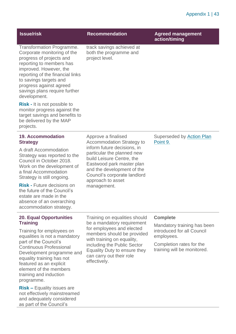| <b>Issue/risk</b>                                                                                                                                                                                                                                                                                                                                                                                                               | <b>Recommendation</b>                                                                                                                                                                                                                                                            | <b>Agreed management</b><br>action/timing                                                                                                             |
|---------------------------------------------------------------------------------------------------------------------------------------------------------------------------------------------------------------------------------------------------------------------------------------------------------------------------------------------------------------------------------------------------------------------------------|----------------------------------------------------------------------------------------------------------------------------------------------------------------------------------------------------------------------------------------------------------------------------------|-------------------------------------------------------------------------------------------------------------------------------------------------------|
| <b>Transformation Programme.</b><br>Corporate monitoring of the<br>progress of projects and<br>reporting to members has<br>improved. However, the<br>reporting of the financial links<br>to savings targets and<br>progress against agreed<br>savings plans require further<br>development.<br><b>Risk - It is not possible to</b><br>monitor progress against the<br>target savings and benefits to<br>be delivered by the MAP | track savings achieved at<br>both the programme and<br>project level.                                                                                                                                                                                                            |                                                                                                                                                       |
| projects.<br><b>19. Accommodation</b><br><b>Strategy</b><br>A draft Accommodation<br>Strategy was reported to the<br>Council in October 2018.<br>Work on the development of<br>a final Accommodation<br>Strategy is still ongoing.<br><b>Risk - Future decisions on</b><br>the future of the Council's<br>estate are made in the                                                                                                | Approve a finalised<br><b>Accommodation Strategy to</b><br>inform future decisions, in<br>particular the planned new<br>build Leisure Centre, the<br>Eastwood park master plan<br>and the development of the<br>Council's corporate landlord<br>approach to asset<br>management. | Superseded by Action Plan<br>Point 9.                                                                                                                 |
| absence of an overarching<br>accommodation strategy.                                                                                                                                                                                                                                                                                                                                                                            |                                                                                                                                                                                                                                                                                  |                                                                                                                                                       |
| <b>20. Equal Opportunities</b><br><b>Training</b><br>Training for employees on<br>equalities is not a mandatory<br>part of the Council's<br><b>Continuous Professional</b><br>Development programme and<br>equality training has not<br>featured as an explicit<br>element of the members<br>training and induction<br>programme.                                                                                               | Training on equalities should<br>be a mandatory requirement<br>for employees and elected<br>members should be provided<br>with training on equality,<br>including the Public Sector<br>Equality Duty to ensure they<br>can carry out their role<br>effectively.                  | <b>Complete</b><br>Mandatory training has been<br>introduced for all Council<br>employees.<br>Completion rates for the<br>training will be monitored. |
| <b>Risk - Equality issues are</b><br>not effectively mainstreamed<br>and adequately considered                                                                                                                                                                                                                                                                                                                                  |                                                                                                                                                                                                                                                                                  |                                                                                                                                                       |

as part of the Council's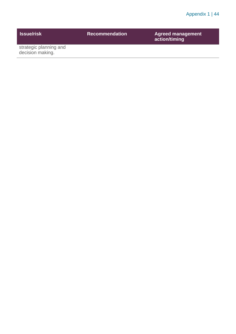| <b>Issue/risk</b>                          | <b>Recommendation</b> | <b>Agreed management</b><br>action/timing |
|--------------------------------------------|-----------------------|-------------------------------------------|
| strategic planning and<br>decision making. |                       |                                           |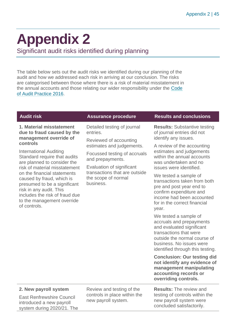## <span id="page-44-0"></span>**Appendix 2**

Significant audit risks identified during planning

The table below sets out the audit risks we identified during our planning of the audit and how we addressed each risk in arriving at our conclusion. The risks are categorised between those where there is a risk of material misstatement in the annual accounts and those relating our wider responsibility under the [Code](http://www.audit-scotland.gov.uk/report/code-of-audit-practice-2016)  [of Audit Practice 2016.](http://www.audit-scotland.gov.uk/report/code-of-audit-practice-2016)

| <b>Audit risk</b>                                                                                                                                                                                   | <b>Assurance procedure</b>                                                                                                                                                                                                                           | <b>Results and conclusions</b>                                                                                                                                                                           |
|-----------------------------------------------------------------------------------------------------------------------------------------------------------------------------------------------------|------------------------------------------------------------------------------------------------------------------------------------------------------------------------------------------------------------------------------------------------------|----------------------------------------------------------------------------------------------------------------------------------------------------------------------------------------------------------|
| 1. Material misstatement<br>due to fraud caused by the<br>management override of                                                                                                                    | Detailed testing of journal<br>entries.<br>Reviewed of accounting<br>estimates and judgements.<br>Focussed testing of accruals<br>and prepayments.<br>Evaluation of significant<br>transactions that are outside<br>the scope of normal<br>business. | <b>Results: Substantive testing</b><br>of journal entries did not<br>identify any issues.                                                                                                                |
| controls<br><b>International Auditing</b><br>Standard require that audits<br>are planned to consider the<br>risk of material misstatement                                                           |                                                                                                                                                                                                                                                      | A review of the accounting<br>estimates and judgements<br>within the annual accounts<br>was undertaken and no<br>issues were identified.                                                                 |
| on the financial statements<br>caused by fraud, which is<br>presumed to be a significant<br>risk in any audit. This<br>includes the risk of fraud due<br>to the management override<br>of controls. |                                                                                                                                                                                                                                                      | We tested a sample of<br>transactions taken from both<br>pre and post year end to<br>confirm expenditure and<br>income had been accounted<br>for in the correct financial<br>year.                       |
|                                                                                                                                                                                                     |                                                                                                                                                                                                                                                      | We tested a sample of<br>accruals and prepayments<br>and evaluated significant<br>transactions that were<br>outside the normal course of<br>business. No issues were<br>identified through this testing. |
|                                                                                                                                                                                                     |                                                                                                                                                                                                                                                      | <b>Conclusion: Our testing did</b><br>not identify any evidence of<br>management manipulating<br>accounting records or<br>overriding controls.                                                           |
| 2. New payroll system<br><b>East Renfrewshire Council</b><br>introduced a new payroll<br>system during 2020/21. The                                                                                 | Review and testing of the<br>controls in place within the<br>new payroll system.                                                                                                                                                                     | <b>Results: The review and</b><br>testing of controls within the<br>new payroll system were<br>concluded satisfactorily.                                                                                 |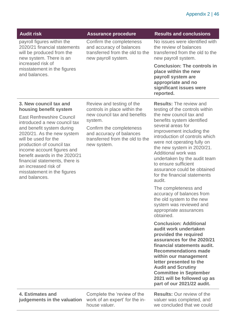| <b>Audit risk</b>                                                                                                                                                                       | <b>Assurance procedure</b>                                                                                     | <b>Results and conclusions</b>                                                                                                                 |
|-----------------------------------------------------------------------------------------------------------------------------------------------------------------------------------------|----------------------------------------------------------------------------------------------------------------|------------------------------------------------------------------------------------------------------------------------------------------------|
| payroll figures within the<br>2020/21 financial statements<br>will be produced from the<br>new system. There is an<br>increased risk of<br>misstatement in the figures<br>and balances. | Confirm the completeness<br>and accuracy of balances<br>transferred from the old to the<br>new payroll system. | No issues were identified with<br>the review of balances<br>transferred from the old to the<br>new payroll system.                             |
|                                                                                                                                                                                         |                                                                                                                | <b>Conclusion: The controls in</b><br>place within the new<br>payroll system are<br>appropriate and no<br>significant issues were<br>reported. |
| 3. New council tax and                                                                                                                                                                  | Review and testing of the                                                                                      | <b>Results:</b> The review and                                                                                                                 |

### **3. New council tax and housing benefit system**

East Renfrewshire Council introduced a new council tax and benefit system during 2020/21. As the new system will be used for the production of council tax income account figures and benefit awards in the 2020/21 financial statements, there is an increased risk of misstatement in the figures and balances.

Review and testing of the controls in place within the new council tax and benefits system.

Confirm the completeness and accuracy of balances transferred from the old to the new system.

**Results:** The review and testing of the controls within the new council tax and benefits system identified several areas for improvement including the introduction of controls which were not operating fully on the new system in 2020/21. Additional work was undertaken by the audit team to ensure sufficient assurance could be obtained for the financial statements audit.

The completeness and accuracy of balances from the old system to the new system was reviewed and appropriate assurances obtained.

**Conclusion: Additional audit work undertaken provided the required assurances for the 2020/21 financial statements audit. Recommendations made within our management letter presented to the Audit and Scrutiny Committee in September 2021 will be followed up as part of our 2021/22 audit.**

**Results:** Our review of the valuer was completed, and we concluded that we could

### **4. Estimates and judgements in the valuation**

Complete the 'review of the work of an expert' for the inhouse valuer.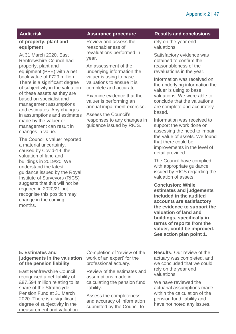### **of property, plant and equipment**

At 31 March 2020, East Renfrewshire Council had property, plant and equipment (PPE) with a net book value of £729 million. There is a significant degree of subjectivity in the valuation of these assets as they are based on specialist and management assumptions and estimates. Any changes in assumptions and estimates made by the valuer or management can result in changes in value.

The Council's valuer reported a material uncertainty, caused by Covid-19, the valuation of land and buildings in 2019/20. We understand the latest guidance issued by the Royal Institute of Surveyors (RICS) suggests that this will not be required in 2020/21 but recognise this position may change in the coming months.

Review and assess the reasonableness of revaluations performed in year.

An assessment of the underlying information the valuer is using to base valuations to ensure it is complete and accurate.

Examine evidence that the valuer is performing an annual impairment exercise.

Assess the Council's responses to any changes in guidance issued by RICS.

#### **Audit risk Assurance procedure Results and conclusions**

rely on the year end valuations.

Satisfactory evidence was obtained to confirm the reasonableness of the revaluations in the year.

Information was received on the underlying information the valuer is using to base valuations. We were able to conclude that the valuations are complete and accurately based.

Information was received to support the work done on assessing the need to impair the value of assets. We found that there could be improvements in the level of detail provided.

The Council have complied with appropriate guidance issued by RICS regarding the valuation of assets.

**Conclusion: While estimates and judgements included in the audited accounts are satisfactory the evidence to support the valuation of land and buildings, specifically in terms of reports from the valuer, could be improved. See action plan point 1.**

### **5. Estimates and judgements in the valuation of the pension liability**

East Renfrewshire Council recognised a net liability of £87.594 million relating to its share of the Strathclyde Pension Fund at 31 March 2020. There is a significant degree of subjectivity in the measurement and valuation

Completion of 'review of the work of an expert' for the professional actuary.

Review of the estimates and assumptions made in calculating the pension fund liability.

Assess the completeness and accuracy of information submitted by the Council to

**Results:** Our review of the actuary was completed, and we concluded that we could rely on the year end valuations.

We have reviewed the actuarial assumptions made within the calculation of the pension fund liability and have not noted any issues.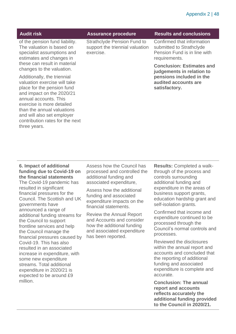| <b>Audit risk</b>                                                                                                                                                            | <b>Assurance procedure</b>                                                         | <b>Results and conclusions</b>                                                                          |
|------------------------------------------------------------------------------------------------------------------------------------------------------------------------------|------------------------------------------------------------------------------------|---------------------------------------------------------------------------------------------------------|
| of the pension fund liability.<br>The valuation is based on<br>specialist assumptions and<br>estimates and changes in                                                        | <b>Strathclyde Pension Fund to</b><br>support the triennial valuation<br>exercise. | Confirmed that information<br>submitted to Strathclyde<br>Pension Fund is in line with<br>requirements. |
| these can result in material<br>changes to the valuation.                                                                                                                    |                                                                                    | <b>Conclusion: Estimates and</b><br>judgements in relation to                                           |
| Additionally, the triennial<br>valuation exercise will take<br>place for the pension fund<br>and impact on the 2020/21<br>annual accounts. This<br>exercise is more detailed |                                                                                    | pensions included in the<br>audited accounts are<br>satisfactory.                                       |

**6. Impact of additional funding due to Covid-19 on the financial statements**  The Covid-19 pandemic has resulted in significant financial pressures for the Council. The Scottish and UK governments have announced a range of additional funding streams for the Council to support frontline services and help the Council manage the financial pressures caused by Covid-19. This has also resulted in an associated increase in expenditure, with some new expenditure streams. Total additional expenditure in 2020/21 is expected to be around £9 million.

than the annual valuations and will also set employer contribution rates for the next

three years.

Assess how the Council has processed and controlled the additional funding and associated expenditure,

Assess how the additional funding and associated expenditure impacts on the financial statements.

Review the Annual Report and Accounts and consider how the additional funding and associated expenditure has been reported.

**Results:** Completed a walkthrough of the process and controls surrounding additional funding and expenditure in the areas of business support grants, education hardship grant and self-isolation grants.

Confirmed that income and expenditure continued to be processed through the Council's normal controls and processes.

Reviewed the disclosures within the annual report and accounts and concluded that the reporting of additional funding and associated expenditure is complete and accurate.

**Conclusion: The annual report and accounts reflects accurately the additional funding provided to the Council in 2020/21.**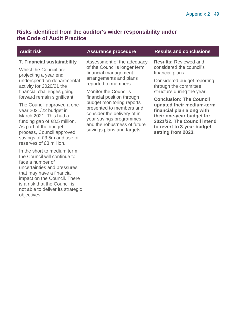### **Risks identified from the auditor's wider responsibility under the Code of Audit Practice**

### **7. Financial sustainability**

Whilst the Council are projecting a year end underspend on departmental activity for 2020/21 the financial challenges going forward remain significant.

The Council approved a oneyear 2021/22 budget in March 2021. This had a funding gap of £8.5 million. As part of the budget process, Council approved savings of £3.5m and use of reserves of £3 million.

In the short to medium term the Council will continue to face a number of uncertainties and pressures that may have a financial impact on the Council. There is a risk that the Council is not able to deliver its strategic objectives.

Assessment of the adequacy of the Council's longer term financial management arrangements and plans reported to members.

Monitor the Council's financial position through budget monitoring reports presented to members and consider the delivery of in year savings programmes and the robustness of future savings plans and targets.

### **Audit risk Assurance procedure Results and conclusions**

**Results:** Reviewed and considered the council's financial plans.

Considered budget reporting through the committee structure during the year.

**Conclusion: The Council updated their medium-term financial plan along with their one-year budget for 2021/22. The Council intend to revert to 3-year budget setting from 2023.**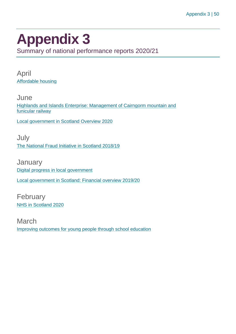## <span id="page-49-0"></span>**Appendix 3**

Summary of national performance reports 2020/21

April [Affordable housing](https://www.audit-scotland.gov.uk/report/affordable-housing)

**June** [Highlands and Islands Enterprise: Management of Cairngorm mountain and](https://www.audit-scotland.gov.uk/report/highlands-and-islands-enterprise-management-of-cairngorm-mountain-and-funicular-railway)  [funicular railway](https://www.audit-scotland.gov.uk/report/highlands-and-islands-enterprise-management-of-cairngorm-mountain-and-funicular-railway)

[Local government in Scotland Overview 2020](https://www.audit-scotland.gov.uk/report/local-government-in-scotland-overview-2020)

July [The National Fraud Initiative in Scotland 2018/19](https://www.audit-scotland.gov.uk/report/the-national-fraud-initiative-in-scotland-201819)

**January** [Digital progress in local government](https://www.audit-scotland.gov.uk/report/digital-progress-in-local-government) [Local government in Scotland: Financial overview 2019/20](https://www.audit-scotland.gov.uk/report/local-government-in-scotland-financial-overview-201920)

February [NHS in Scotland 2020](https://www.audit-scotland.gov.uk/report/nhs-in-scotland-2020)

March [Improving outcomes for young people through school education](https://www.audit-scotland.gov.uk/report/improving-outcomes-for-young-people-through-school-education)